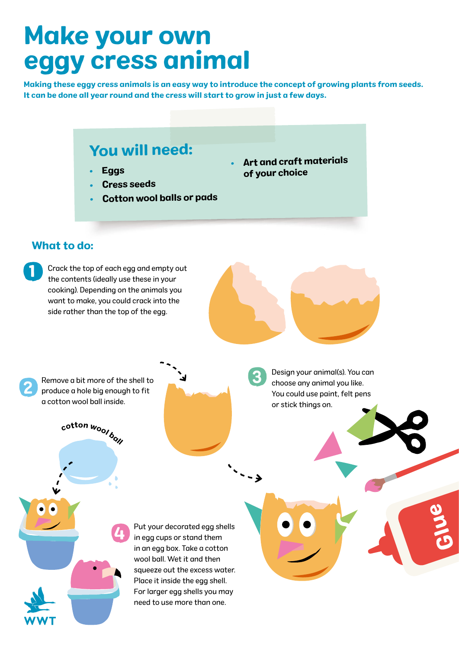# Make your own eggy cress animal

Making these eggy cress animals is an easy way to introduce the concept of growing plants from seeds. It can be done all year round and the cress will start to grow in just a few days.

•

3

### You will need:

- •Eggs
- •Cress seeds
- •Cotton wool balls or pads

#### What to do:

2

1

Crack the top of each egg and empty out the contents (ideally use these in your cooking). Depending on the animals you want to make, you could crack into the side rather than the top of the egg.

Remove a bit more of the shell to produce a hole big enough to fit a cotton wool ball inside.

cotton woolboll

4

 Art and craft materials of your choice

> Design your animal(s). You can choose any animal you like. You could use paint, felt pens or stick things on.

Put your decorated egg shells in egg cups or stand them in an egg box. Take a cotton wool ball. Wet it and then squeeze out the excess water. Place it inside the egg shell. For larger egg shells you may need to use more than one.